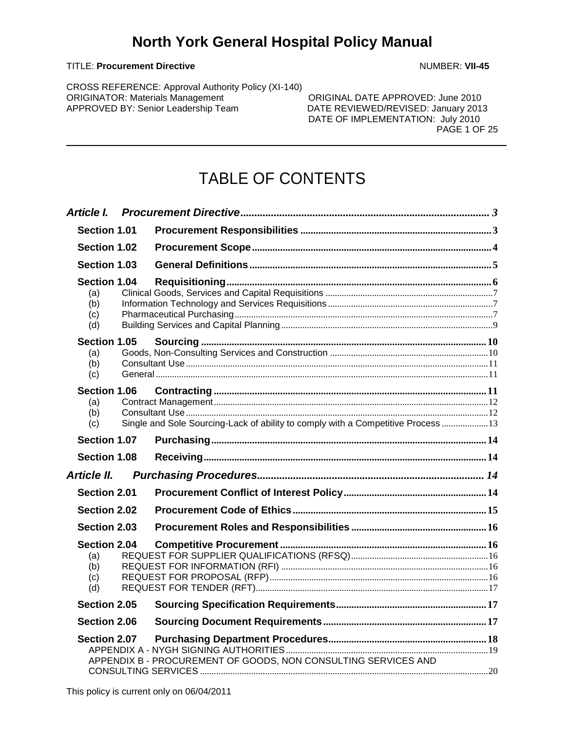#### TITLE: **Procurement Directive** NUMBER: **VII-45**

CROSS REFERENCE: Approval Authority Policy (XI-140) ORIGINATOR: Materials Management<br>
APPROVED BY: Senior Leadership Team<br>
DATE REVIEWED/REVISED: January 2013

DATE REVIEWED/REVISED: January 2013 DATE OF IMPLEMENTATION: July 2010 PAGE 1 OF 25

# TABLE OF CONTENTS

| Section 1.01                                    |                                                                                  |  |
|-------------------------------------------------|----------------------------------------------------------------------------------|--|
| Section 1.02                                    |                                                                                  |  |
| Section 1.03                                    |                                                                                  |  |
| <b>Section 1.04</b><br>(a)<br>(b)<br>(c)<br>(d) |                                                                                  |  |
| Section 1.05<br>(a)<br>(b)<br>(c)               |                                                                                  |  |
| <b>Section 1.06</b><br>(a)<br>(b)<br>(c)        | Single and Sole Sourcing-Lack of ability to comply with a Competitive Process 13 |  |
| Section 1.07                                    |                                                                                  |  |
| <b>Section 1.08</b>                             |                                                                                  |  |
|                                                 |                                                                                  |  |
| Section 2.01                                    |                                                                                  |  |
| Section 2.02                                    |                                                                                  |  |
| Section 2.03                                    |                                                                                  |  |
| Section 2.04<br>(a)<br>(b)<br>(c)<br>(d)        |                                                                                  |  |
| Section 2.05                                    |                                                                                  |  |
| Section 2.06                                    |                                                                                  |  |
| Section 2.07                                    | APPENDIX B - PROCUREMENT OF GOODS, NON CONSULTING SERVICES AND                   |  |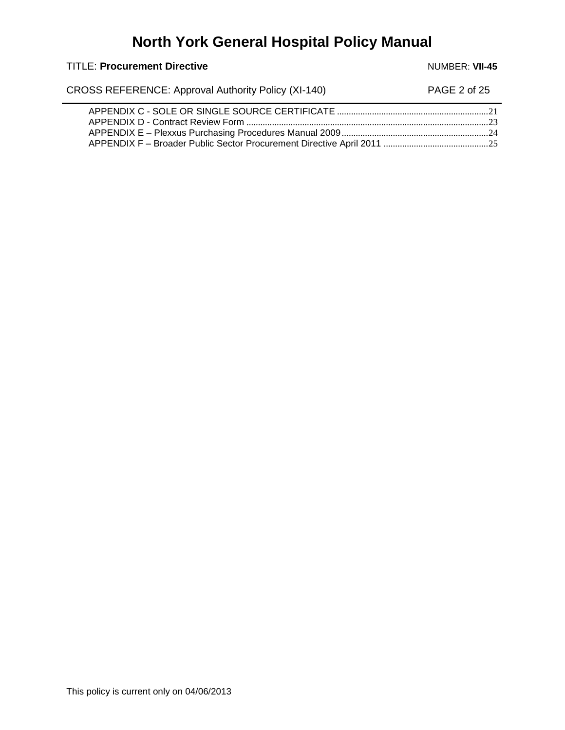TITLE: Procurement Directive **Number 2018** NUMBER: VII-45

CROSS REFERENCE: Approval Authority Policy (XI-140) PAGE 2 of 25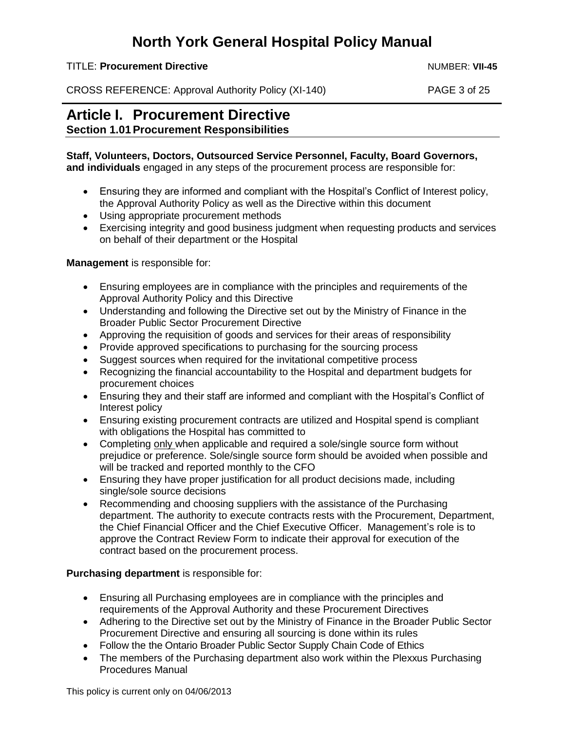TITLE: **Procurement Directive** Number 2004 Number 2004 Number 2004 Number 2004 Number 2004

CROSS REFERENCE: Approval Authority Policy (XI-140) PAGE 3 of 25

## <span id="page-2-1"></span><span id="page-2-0"></span>**Article I. Procurement Directive Section 1.01 Procurement Responsibilities**

### **Staff, Volunteers, Doctors, Outsourced Service Personnel, Faculty, Board Governors,**

**and individuals** engaged in any steps of the procurement process are responsible for:

- Ensuring they are informed and compliant with the Hospital's Conflict of Interest policy, the Approval Authority Policy as well as the Directive within this document
- Using appropriate procurement methods
- Exercising integrity and good business judgment when requesting products and services on behalf of their department or the Hospital

### **Management** is responsible for:

- Ensuring employees are in compliance with the principles and requirements of the Approval Authority Policy and this Directive
- Understanding and following the Directive set out by the Ministry of Finance in the Broader Public Sector Procurement Directive
- Approving the requisition of goods and services for their areas of responsibility
- Provide approved specifications to purchasing for the sourcing process
- Suggest sources when required for the invitational competitive process
- Recognizing the financial accountability to the Hospital and department budgets for procurement choices
- Ensuring they and their staff are informed and compliant with the Hospital's Conflict of Interest policy
- Ensuring existing procurement contracts are utilized and Hospital spend is compliant with obligations the Hospital has committed to
- Completing only when applicable and required a sole/single source form without prejudice or preference. Sole/single source form should be avoided when possible and will be tracked and reported monthly to the CFO
- Ensuring they have proper justification for all product decisions made, including single/sole source decisions
- Recommending and choosing suppliers with the assistance of the Purchasing department. The authority to execute contracts rests with the Procurement, Department, the Chief Financial Officer and the Chief Executive Officer. Management's role is to approve the Contract Review Form to indicate their approval for execution of the contract based on the procurement process.

### **Purchasing department** is responsible for:

- Ensuring all Purchasing employees are in compliance with the principles and requirements of the Approval Authority and these Procurement Directives
- Adhering to the Directive set out by the Ministry of Finance in the Broader Public Sector Procurement Directive and ensuring all sourcing is done within its rules
- Follow the the Ontario Broader Public Sector Supply Chain Code of Ethics
- The members of the Purchasing department also work within the Plexxus Purchasing Procedures Manual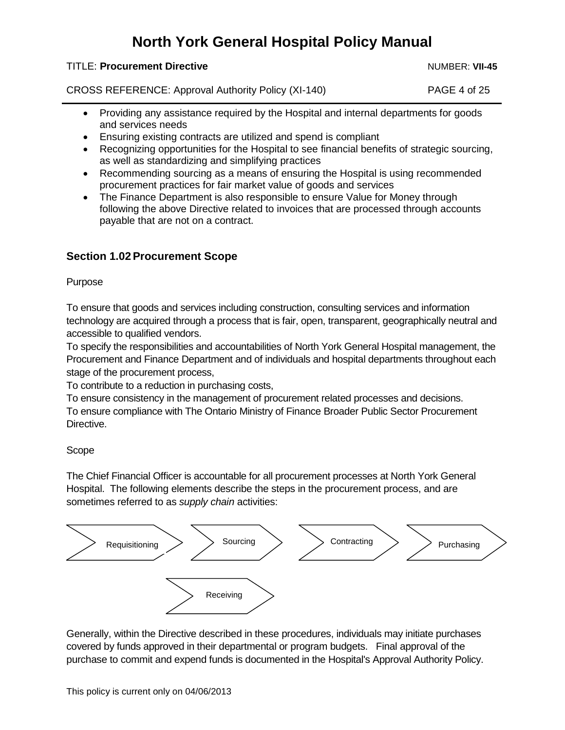#### TITLE: **Procurement Directive** Number 2004 Number 2004 Number 2004 Number 2004 Number 2004

CROSS REFERENCE: Approval Authority Policy (XI-140) PAGE 4 of 25

- Providing any assistance required by the Hospital and internal departments for goods and services needs
- Ensuring existing contracts are utilized and spend is compliant
- Recognizing opportunities for the Hospital to see financial benefits of strategic sourcing, as well as standardizing and simplifying practices
- Recommending sourcing as a means of ensuring the Hospital is using recommended procurement practices for fair market value of goods and services
- The Finance Department is also responsible to ensure Value for Money through following the above Directive related to invoices that are processed through accounts payable that are not on a contract.

## <span id="page-3-0"></span>**Section 1.02Procurement Scope**

### Purpose

To ensure that goods and services including construction, consulting services and information technology are acquired through a process that is fair, open, transparent, geographically neutral and accessible to qualified vendors.

To specify the responsibilities and accountabilities of North York General Hospital management, the Procurement and Finance Department and of individuals and hospital departments throughout each stage of the procurement process,

To contribute to a reduction in purchasing costs,

To ensure consistency in the management of procurement related processes and decisions. To ensure compliance with The Ontario Ministry of Finance Broader Public Sector Procurement Directive.

## Scope

The Chief Financial Officer is accountable for all procurement processes at North York General Hospital. The following elements describe the steps in the procurement process, and are sometimes referred to as *supply chain* activities:



Generally, within the Directive described in these procedures, individuals may initiate purchases covered by funds approved in their departmental or program budgets. Final approval of the purchase to commit and expend funds is documented in the Hospital's Approval Authority Policy.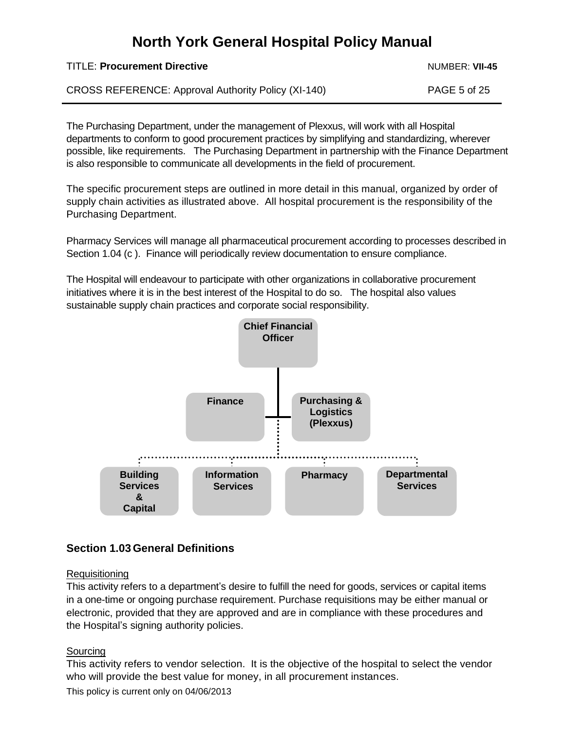TITLE: **Procurement Directive** Number 2004 Number 2004 Number 2014 Number 2014

CROSS REFERENCE: Approval Authority Policy (XI-140) PAGE 5 of 25

The Purchasing Department, under the management of Plexxus, will work with all Hospital departments to conform to good procurement practices by simplifying and standardizing, wherever possible, like requirements. The Purchasing Department in partnership with the Finance Department is also responsible to communicate all developments in the field of procurement.

The specific procurement steps are outlined in more detail in this manual, organized by order of supply chain activities as illustrated above. All hospital procurement is the responsibility of the Purchasing Department.

Pharmacy Services will manage all pharmaceutical procurement according to processes described in Section 1.04 (c ). Finance will periodically review documentation to ensure compliance.

The Hospital will endeavour to participate with other organizations in collaborative procurement initiatives where it is in the best interest of the Hospital to do so. The hospital also values sustainable supply chain practices and corporate social responsibility.



## <span id="page-4-0"></span>**Section 1.03 General Definitions**

## **Requisitioning**

This activity refers to a department's desire to fulfill the need for goods, services or capital items in a one-time or ongoing purchase requirement. Purchase requisitions may be either manual or electronic, provided that they are approved and are in compliance with these procedures and the Hospital's signing authority policies.

## Sourcing

This activity refers to vendor selection. It is the objective of the hospital to select the vendor who will provide the best value for money, in all procurement instances.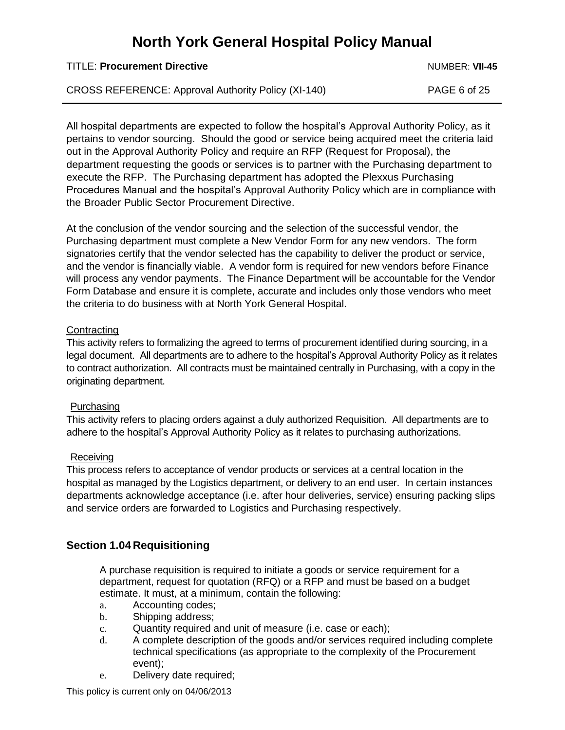TITLE: **Procurement Directive** Number 2004 Number 2004 Number 2014 Number 2014

CROSS REFERENCE: Approval Authority Policy (XI-140) PAGE 6 of 25

All hospital departments are expected to follow the hospital's Approval Authority Policy, as it pertains to vendor sourcing. Should the good or service being acquired meet the criteria laid out in the Approval Authority Policy and require an RFP (Request for Proposal), the department requesting the goods or services is to partner with the Purchasing department to execute the RFP. The Purchasing department has adopted the Plexxus Purchasing Procedures Manual and the hospital's Approval Authority Policy which are in compliance with the Broader Public Sector Procurement Directive.

At the conclusion of the vendor sourcing and the selection of the successful vendor, the Purchasing department must complete a New Vendor Form for any new vendors. The form signatories certify that the vendor selected has the capability to deliver the product or service, and the vendor is financially viable. A vendor form is required for new vendors before Finance will process any vendor payments. The Finance Department will be accountable for the Vendor Form Database and ensure it is complete, accurate and includes only those vendors who meet the criteria to do business with at North York General Hospital.

### **Contracting**

This activity refers to formalizing the agreed to terms of procurement identified during sourcing, in a legal document. All departments are to adhere to the hospital's Approval Authority Policy as it relates to contract authorization. All contracts must be maintained centrally in Purchasing, with a copy in the originating department.

## Purchasing

This activity refers to placing orders against a duly authorized Requisition. All departments are to adhere to the hospital's Approval Authority Policy as it relates to purchasing authorizations.

### Receiving

This process refers to acceptance of vendor products or services at a central location in the hospital as managed by the Logistics department, or delivery to an end user. In certain instances departments acknowledge acceptance (i.e. after hour deliveries, service) ensuring packing slips and service orders are forwarded to Logistics and Purchasing respectively.

## <span id="page-5-0"></span>**Section 1.04 Requisitioning**

A purchase requisition is required to initiate a goods or service requirement for a department, request for quotation (RFQ) or a RFP and must be based on a budget estimate. It must, at a minimum, contain the following:

- a. Accounting codes;
- b. Shipping address;
- c. Quantity required and unit of measure (i.e. case or each);
- d. A complete description of the goods and/or services required including complete technical specifications (as appropriate to the complexity of the Procurement event);
- e. Delivery date required;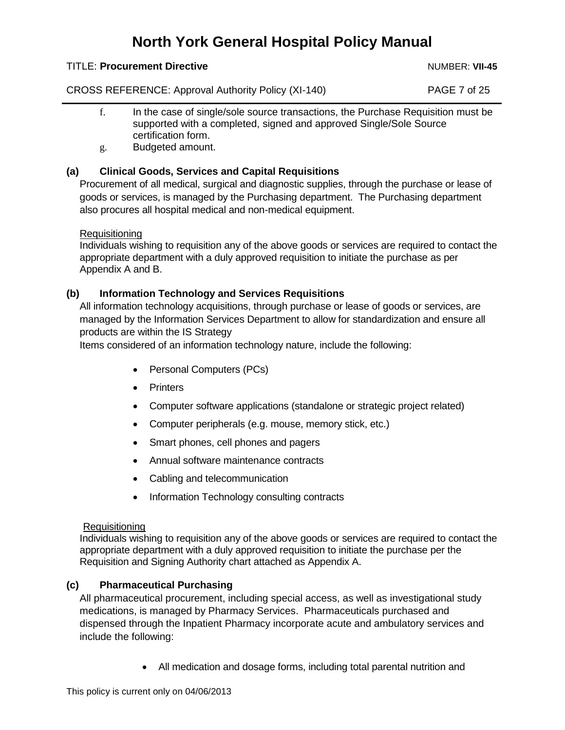### TITLE: **Procurement Directive** Number 2004 Number 2004 Number 2014 Number 2014

CROSS REFERENCE: Approval Authority Policy (XI-140) PAGE 7 of 25

- f. In the case of single/sole source transactions, the Purchase Requisition must be supported with a completed, signed and approved Single/Sole Source certification form.
- g. Budgeted amount.

### <span id="page-6-0"></span>**(a) Clinical Goods, Services and Capital Requisitions**

Procurement of all medical, surgical and diagnostic supplies, through the purchase or lease of goods or services, is managed by the Purchasing department. The Purchasing department also procures all hospital medical and non-medical equipment.

**Requisitioning** 

Individuals wishing to requisition any of the above goods or services are required to contact the appropriate department with a duly approved requisition to initiate the purchase as per Appendix A and B.

### <span id="page-6-1"></span>**(b) Information Technology and Services Requisitions**

All information technology acquisitions, through purchase or lease of goods or services, are managed by the Information Services Department to allow for standardization and ensure all products are within the IS Strategy

Items considered of an information technology nature, include the following:

- Personal Computers (PCs)
- Printers
- Computer software applications (standalone or strategic project related)
- Computer peripherals (e.g. mouse, memory stick, etc.)
- Smart phones, cell phones and pagers
- Annual software maintenance contracts
- Cabling and telecommunication
- Information Technology consulting contracts

### **Requisitioning**

Individuals wishing to requisition any of the above goods or services are required to contact the appropriate department with a duly approved requisition to initiate the purchase per the Requisition and Signing Authority chart attached as Appendix A.

### <span id="page-6-2"></span>**(c) Pharmaceutical Purchasing**

All pharmaceutical procurement, including special access, as well as investigational study medications, is managed by Pharmacy Services. Pharmaceuticals purchased and dispensed through the Inpatient Pharmacy incorporate acute and ambulatory services and include the following:

All medication and dosage forms, including total parental nutrition and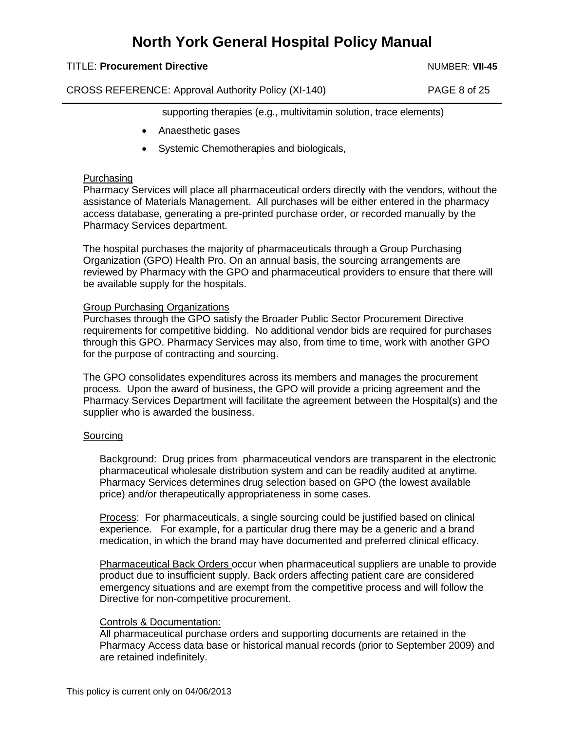#### TITLE: **Procurement Directive** Number 2004 Number 2004 Number 2014 Number 2014

CROSS REFERENCE: Approval Authority Policy (XI-140) PAGE 8 of 25

supporting therapies (e.g., multivitamin solution, trace elements)

- Anaesthetic gases
- Systemic Chemotherapies and biologicals,

#### **Purchasing**

Pharmacy Services will place all pharmaceutical orders directly with the vendors, without the assistance of Materials Management. All purchases will be either entered in the pharmacy access database, generating a pre-printed purchase order, or recorded manually by the Pharmacy Services department.

The hospital purchases the majority of pharmaceuticals through a Group Purchasing Organization (GPO) Health Pro. On an annual basis, the sourcing arrangements are reviewed by Pharmacy with the GPO and pharmaceutical providers to ensure that there will be available supply for the hospitals.

#### Group Purchasing Organizations

Purchases through the GPO satisfy the Broader Public Sector Procurement Directive requirements for competitive bidding. No additional vendor bids are required for purchases through this GPO. Pharmacy Services may also, from time to time, work with another GPO for the purpose of contracting and sourcing.

The GPO consolidates expenditures across its members and manages the procurement process. Upon the award of business, the GPO will provide a pricing agreement and the Pharmacy Services Department will facilitate the agreement between the Hospital(s) and the supplier who is awarded the business.

#### Sourcing

Background: Drug prices from pharmaceutical vendors are transparent in the electronic pharmaceutical wholesale distribution system and can be readily audited at anytime. Pharmacy Services determines drug selection based on GPO (the lowest available price) and/or therapeutically appropriateness in some cases.

Process: For pharmaceuticals, a single sourcing could be justified based on clinical experience. For example, for a particular drug there may be a generic and a brand medication, in which the brand may have documented and preferred clinical efficacy.

Pharmaceutical Back Orders occur when pharmaceutical suppliers are unable to provide product due to insufficient supply. Back orders affecting patient care are considered emergency situations and are exempt from the competitive process and will follow the Directive for non-competitive procurement.

### Controls & Documentation:

All pharmaceutical purchase orders and supporting documents are retained in the Pharmacy Access data base or historical manual records (prior to September 2009) and are retained indefinitely.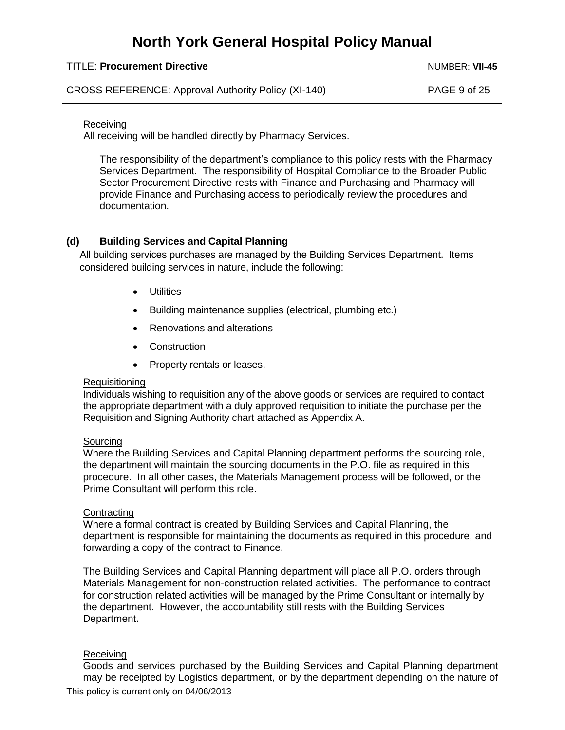#### TITLE: **Procurement Directive** Number 2004 Number 2004 Number 2014 Number 2014

CROSS REFERENCE: Approval Authority Policy (XI-140) PAGE 9 of 25

#### Receiving

All receiving will be handled directly by Pharmacy Services.

The responsibility of the department's compliance to this policy rests with the Pharmacy Services Department. The responsibility of Hospital Compliance to the Broader Public Sector Procurement Directive rests with Finance and Purchasing and Pharmacy will provide Finance and Purchasing access to periodically review the procedures and documentation.

### <span id="page-8-0"></span>**(d) Building Services and Capital Planning**

All building services purchases are managed by the Building Services Department. Items considered building services in nature, include the following:

- **.** Utilities
- Building maintenance supplies (electrical, plumbing etc.)
- Renovations and alterations
- Construction
- Property rentals or leases,

#### **Requisitioning**

Individuals wishing to requisition any of the above goods or services are required to contact the appropriate department with a duly approved requisition to initiate the purchase per the Requisition and Signing Authority chart attached as Appendix A.

### Sourcing

Where the Building Services and Capital Planning department performs the sourcing role, the department will maintain the sourcing documents in the P.O. file as required in this procedure. In all other cases, the Materials Management process will be followed, or the Prime Consultant will perform this role.

#### **Contracting**

Where a formal contract is created by Building Services and Capital Planning, the department is responsible for maintaining the documents as required in this procedure, and forwarding a copy of the contract to Finance.

The Building Services and Capital Planning department will place all P.O. orders through Materials Management for non-construction related activities. The performance to contract for construction related activities will be managed by the Prime Consultant or internally by the department. However, the accountability still rests with the Building Services Department.

### Receiving

Goods and services purchased by the Building Services and Capital Planning department may be receipted by Logistics department, or by the department depending on the nature of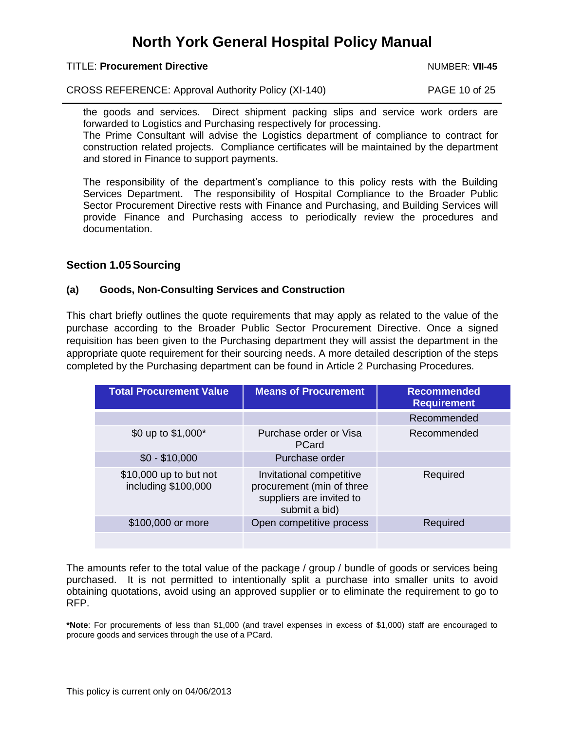TITLE: **Procurement Directive** Number 2004 Number 2004 Number 2014 Number 2014

CROSS REFERENCE: Approval Authority Policy (XI-140) PAGE 10 of 25

the goods and services. Direct shipment packing slips and service work orders are forwarded to Logistics and Purchasing respectively for processing.

The Prime Consultant will advise the Logistics department of compliance to contract for construction related projects. Compliance certificates will be maintained by the department and stored in Finance to support payments.

The responsibility of the department's compliance to this policy rests with the Building Services Department. The responsibility of Hospital Compliance to the Broader Public Sector Procurement Directive rests with Finance and Purchasing, and Building Services will provide Finance and Purchasing access to periodically review the procedures and documentation.

## <span id="page-9-0"></span>**Section 1.05Sourcing**

## <span id="page-9-1"></span>**(a) Goods, Non-Consulting Services and Construction**

This chart briefly outlines the quote requirements that may apply as related to the value of the purchase according to the Broader Public Sector Procurement Directive. Once a signed requisition has been given to the Purchasing department they will assist the department in the appropriate quote requirement for their sourcing needs. A more detailed description of the steps completed by the Purchasing department can be found in Article 2 Purchasing Procedures.

| <b>Total Procurement Value</b>                | <b>Means of Procurement</b>                                                                        | <b>Recommended</b><br><b>Requirement</b> |
|-----------------------------------------------|----------------------------------------------------------------------------------------------------|------------------------------------------|
|                                               |                                                                                                    | Recommended                              |
| \$0 up to \$1,000*                            | Purchase order or Visa<br>PCard                                                                    | Recommended                              |
| $$0 - $10,000$                                | Purchase order                                                                                     |                                          |
| \$10,000 up to but not<br>including \$100,000 | Invitational competitive<br>procurement (min of three<br>suppliers are invited to<br>submit a bid) | Required                                 |
| \$100,000 or more                             | Open competitive process                                                                           | Required                                 |
|                                               |                                                                                                    |                                          |

The amounts refer to the total value of the package / group / bundle of goods or services being purchased. It is not permitted to intentionally split a purchase into smaller units to avoid obtaining quotations, avoid using an approved supplier or to eliminate the requirement to go to RFP.

**\*Note**: For procurements of less than \$1,000 (and travel expenses in excess of \$1,000) staff are encouraged to procure goods and services through the use of a PCard.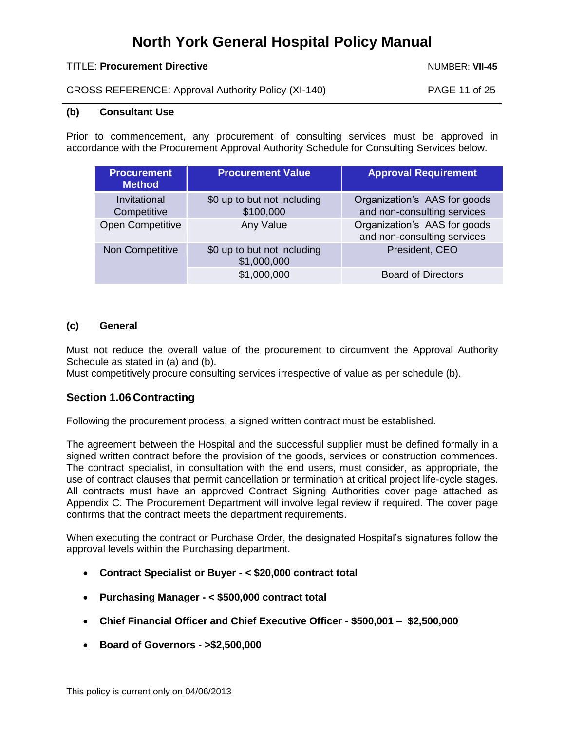#### TITLE: **Procurement Directive** Number 2004 Number 2004 Number 2014 Number 2014

CROSS REFERENCE: Approval Authority Policy (XI-140) PAGE 11 of 25

## <span id="page-10-0"></span>**(b) Consultant Use**

Prior to commencement, any procurement of consulting services must be approved in accordance with the Procurement Approval Authority Schedule for Consulting Services below.

| <b>Procurement</b><br><b>Method</b> | <b>Procurement Value</b>                   | <b>Approval Requirement</b>                                 |
|-------------------------------------|--------------------------------------------|-------------------------------------------------------------|
| Invitational<br>Competitive         | \$0 up to but not including<br>\$100,000   | Organization's AAS for goods<br>and non-consulting services |
| <b>Open Competitive</b>             | Any Value                                  | Organization's AAS for goods<br>and non-consulting services |
| Non Competitive                     | \$0 up to but not including<br>\$1,000,000 | President, CEO                                              |
|                                     | \$1,000,000                                | <b>Board of Directors</b>                                   |

### <span id="page-10-1"></span>**(c) General**

Must not reduce the overall value of the procurement to circumvent the Approval Authority Schedule as stated in (a) and (b).

Must competitively procure consulting services irrespective of value as per schedule (b).

### <span id="page-10-2"></span>**Section 1.06 Contracting**

Following the procurement process, a signed written contract must be established.

The agreement between the Hospital and the successful supplier must be defined formally in a signed written contract before the provision of the goods, services or construction commences. The contract specialist, in consultation with the end users, must consider, as appropriate, the use of contract clauses that permit cancellation or termination at critical project life-cycle stages. All contracts must have an approved Contract Signing Authorities cover page attached as Appendix C. The Procurement Department will involve legal review if required. The cover page confirms that the contract meets the department requirements.

When executing the contract or Purchase Order, the designated Hospital's signatures follow the approval levels within the Purchasing department.

- **Contract Specialist or Buyer - < \$20,000 contract total**
- **Purchasing Manager - < \$500,000 contract total**
- **Chief Financial Officer and Chief Executive Officer - \$500,001 – \$2,500,000**
- **Board of Governors - >\$2,500,000**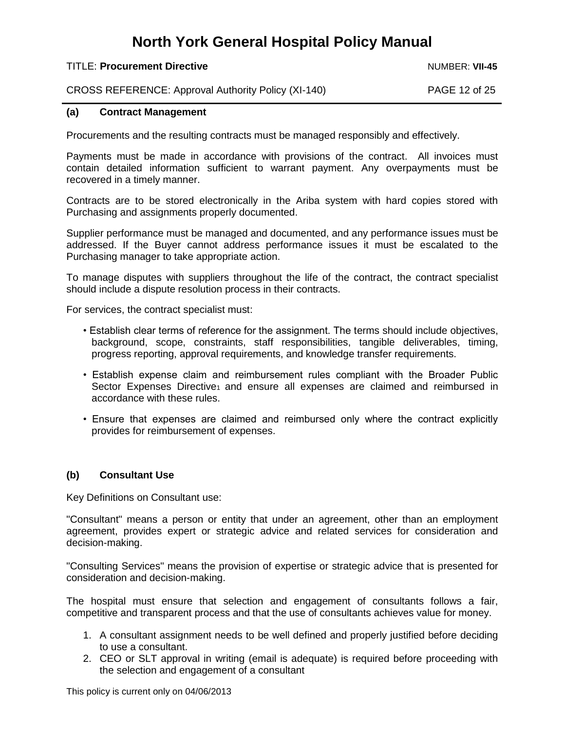#### TITLE: **Procurement Directive** Number 2004 Number 2004 Number 2014 Number 2014

CROSS REFERENCE: Approval Authority Policy (XI-140) PAGE 12 of 25

#### <span id="page-11-0"></span>**(a) Contract Management**

Procurements and the resulting contracts must be managed responsibly and effectively.

Payments must be made in accordance with provisions of the contract. All invoices must contain detailed information sufficient to warrant payment. Any overpayments must be recovered in a timely manner.

Contracts are to be stored electronically in the Ariba system with hard copies stored with Purchasing and assignments properly documented.

Supplier performance must be managed and documented, and any performance issues must be addressed. If the Buyer cannot address performance issues it must be escalated to the Purchasing manager to take appropriate action.

To manage disputes with suppliers throughout the life of the contract, the contract specialist should include a dispute resolution process in their contracts.

For services, the contract specialist must:

- Establish clear terms of reference for the assignment. The terms should include objectives, background, scope, constraints, staff responsibilities, tangible deliverables, timing, progress reporting, approval requirements, and knowledge transfer requirements.
- Establish expense claim and reimbursement rules compliant with the Broader Public Sector Expenses Directive<sub>1</sub> and ensure all expenses are claimed and reimbursed in accordance with these rules.
- Ensure that expenses are claimed and reimbursed only where the contract explicitly provides for reimbursement of expenses.

### <span id="page-11-1"></span>**(b) Consultant Use**

Key Definitions on Consultant use:

"Consultant" means a person or entity that under an agreement, other than an employment agreement, provides expert or strategic advice and related services for consideration and decision-making.

"Consulting Services" means the provision of expertise or strategic advice that is presented for consideration and decision-making.

The hospital must ensure that selection and engagement of consultants follows a fair, competitive and transparent process and that the use of consultants achieves value for money.

- 1. A consultant assignment needs to be well defined and properly justified before deciding to use a consultant.
- 2. CEO or SLT approval in writing (email is adequate) is required before proceeding with the selection and engagement of a consultant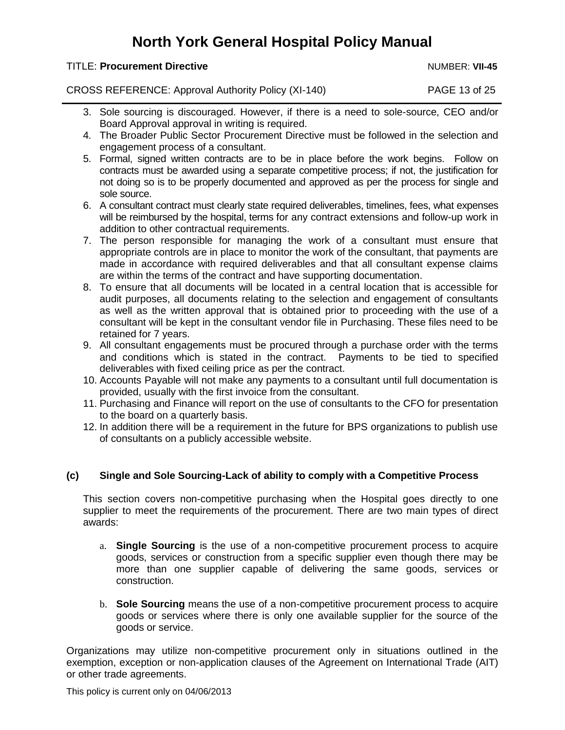#### TITLE: **Procurement Directive** Number 2004 Number 2004 Number 2014 Number 2014

CROSS REFERENCE: Approval Authority Policy (XI-140) PAGE 13 of 25

- 3. Sole sourcing is discouraged. However, if there is a need to sole-source, CEO and/or Board Approval approval in writing is required.
- 4. The Broader Public Sector Procurement Directive must be followed in the selection and engagement process of a consultant.
- 5. Formal, signed written contracts are to be in place before the work begins. Follow on contracts must be awarded using a separate competitive process; if not, the justification for not doing so is to be properly documented and approved as per the process for single and sole source.
- 6. A consultant contract must clearly state required deliverables, timelines, fees, what expenses will be reimbursed by the hospital, terms for any contract extensions and follow-up work in addition to other contractual requirements.
- 7. The person responsible for managing the work of a consultant must ensure that appropriate controls are in place to monitor the work of the consultant, that payments are made in accordance with required deliverables and that all consultant expense claims are within the terms of the contract and have supporting documentation.
- 8. To ensure that all documents will be located in a central location that is accessible for audit purposes, all documents relating to the selection and engagement of consultants as well as the written approval that is obtained prior to proceeding with the use of a consultant will be kept in the consultant vendor file in Purchasing. These files need to be retained for 7 years.
- 9. All consultant engagements must be procured through a purchase order with the terms and conditions which is stated in the contract. Payments to be tied to specified deliverables with fixed ceiling price as per the contract.
- 10. Accounts Payable will not make any payments to a consultant until full documentation is provided, usually with the first invoice from the consultant.
- 11. Purchasing and Finance will report on the use of consultants to the CFO for presentation to the board on a quarterly basis.
- 12. In addition there will be a requirement in the future for BPS organizations to publish use of consultants on a publicly accessible website.

### <span id="page-12-0"></span>**(c) Single and Sole Sourcing-Lack of ability to comply with a Competitive Process**

This section covers non-competitive purchasing when the Hospital goes directly to one supplier to meet the requirements of the procurement. There are two main types of direct awards:

- a. **Single Sourcing** is the use of a non-competitive procurement process to acquire goods, services or construction from a specific supplier even though there may be more than one supplier capable of delivering the same goods, services or construction.
- b. **Sole Sourcing** means the use of a non-competitive procurement process to acquire goods or services where there is only one available supplier for the source of the goods or service.

Organizations may utilize non-competitive procurement only in situations outlined in the exemption, exception or non-application clauses of the Agreement on International Trade (AIT) or other trade agreements.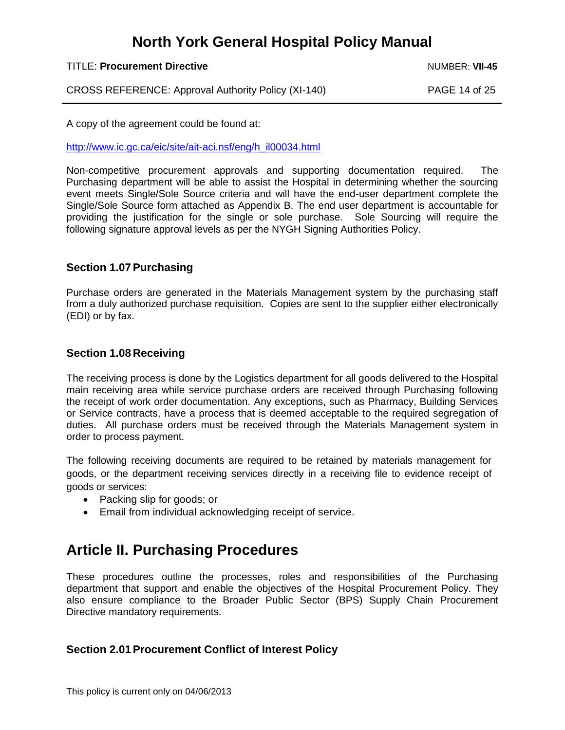#### TITLE: **Procurement Directive** Number 2004 Number 2004 Number 2014 Number 2014

CROSS REFERENCE: Approval Authority Policy (XI-140) PAGE 14 of 25

A copy of the agreement could be found at:

[http://www.ic.gc.ca/eic/site/ait-aci.nsf/eng/h\\_il00034.html](http://www.ic.gc.ca/eic/site/ait-aci.nsf/eng/h_il00034.html)

Non-competitive procurement approvals and supporting documentation required. The Purchasing department will be able to assist the Hospital in determining whether the sourcing event meets Single/Sole Source criteria and will have the end-user department complete the Single/Sole Source form attached as Appendix B. The end user department is accountable for providing the justification for the single or sole purchase. Sole Sourcing will require the following signature approval levels as per the NYGH Signing Authorities Policy.

### <span id="page-13-0"></span>**Section 1.07 Purchasing**

Purchase orders are generated in the Materials Management system by the purchasing staff from a duly authorized purchase requisition. Copies are sent to the supplier either electronically (EDI) or by fax.

## <span id="page-13-1"></span>**Section 1.08 Receiving**

The receiving process is done by the Logistics department for all goods delivered to the Hospital main receiving area while service purchase orders are received through Purchasing following the receipt of work order documentation. Any exceptions, such as Pharmacy, Building Services or Service contracts, have a process that is deemed acceptable to the required segregation of duties. All purchase orders must be received through the Materials Management system in order to process payment.

The following receiving documents are required to be retained by materials management for goods, or the department receiving services directly in a receiving file to evidence receipt of goods or services:

- Packing slip for goods; or
- Email from individual acknowledging receipt of service.

## <span id="page-13-2"></span>**Article II. Purchasing Procedures**

These procedures outline the processes, roles and responsibilities of the Purchasing department that support and enable the objectives of the Hospital Procurement Policy. They also ensure compliance to the Broader Public Sector (BPS) Supply Chain Procurement Directive mandatory requirements.

## <span id="page-13-3"></span>**Section 2.01 Procurement Conflict of Interest Policy**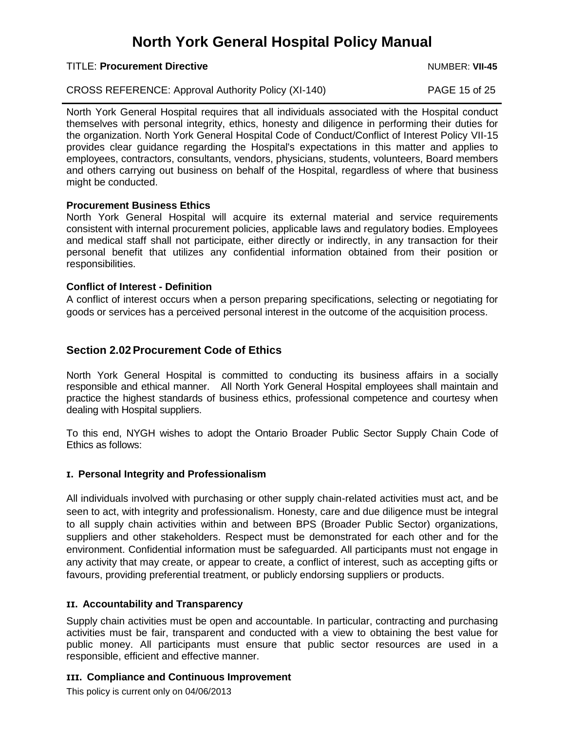#### TITLE: **Procurement Directive** Number 2004 Number 2004 Number 2014 Number 2014

CROSS REFERENCE: Approval Authority Policy (XI-140) PAGE 15 of 25

North York General Hospital requires that all individuals associated with the Hospital conduct themselves with personal integrity, ethics, honesty and diligence in performing their duties for the organization. North York General Hospital Code of Conduct/Conflict of Interest Policy VII-15 provides clear guidance regarding the Hospital's expectations in this matter and applies to employees, contractors, consultants, vendors, physicians, students, volunteers, Board members and others carrying out business on behalf of the Hospital, regardless of where that business might be conducted.

### **Procurement Business Ethics**

North York General Hospital will acquire its external material and service requirements consistent with internal procurement policies, applicable laws and regulatory bodies. Employees and medical staff shall not participate, either directly or indirectly, in any transaction for their personal benefit that utilizes any confidential information obtained from their position or responsibilities.

### **Conflict of Interest - Definition**

A conflict of interest occurs when a person preparing specifications, selecting or negotiating for goods or services has a perceived personal interest in the outcome of the acquisition process.

## <span id="page-14-0"></span>**Section 2.02Procurement Code of Ethics**

North York General Hospital is committed to conducting its business affairs in a socially responsible and ethical manner. All North York General Hospital employees shall maintain and practice the highest standards of business ethics, professional competence and courtesy when dealing with Hospital suppliers.

To this end, NYGH wishes to adopt the Ontario Broader Public Sector Supply Chain Code of Ethics as follows:

### **I. Personal Integrity and Professionalism**

All individuals involved with purchasing or other supply chain-related activities must act, and be seen to act, with integrity and professionalism. Honesty, care and due diligence must be integral to all supply chain activities within and between BPS (Broader Public Sector) organizations, suppliers and other stakeholders. Respect must be demonstrated for each other and for the environment. Confidential information must be safeguarded. All participants must not engage in any activity that may create, or appear to create, a conflict of interest, such as accepting gifts or favours, providing preferential treatment, or publicly endorsing suppliers or products.

### **II. Accountability and Transparency**

Supply chain activities must be open and accountable. In particular, contracting and purchasing activities must be fair, transparent and conducted with a view to obtaining the best value for public money. All participants must ensure that public sector resources are used in a responsible, efficient and effective manner.

## **III. Compliance and Continuous Improvement**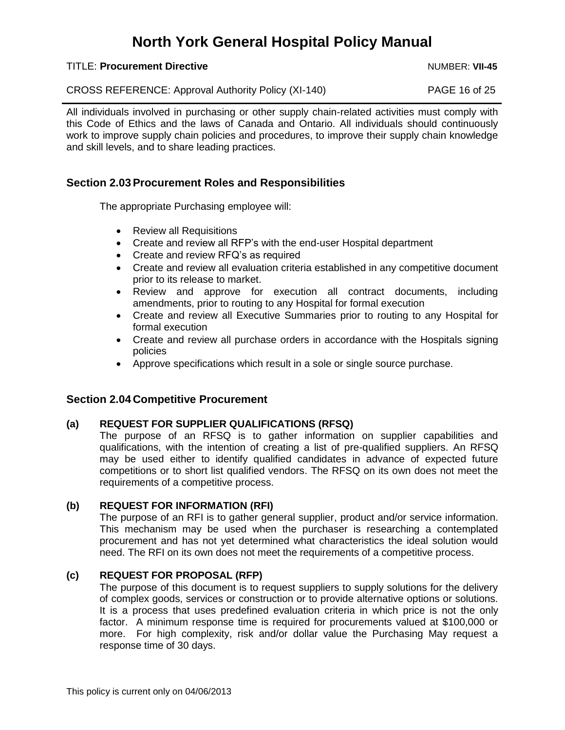TITLE: **Procurement Directive** Number 2004 Number 2004 Number 2014

CROSS REFERENCE: Approval Authority Policy (XI-140) PAGE 16 of 25

All individuals involved in purchasing or other supply chain-related activities must comply with this Code of Ethics and the laws of Canada and Ontario. All individuals should continuously work to improve supply chain policies and procedures, to improve their supply chain knowledge and skill levels, and to share leading practices.

## <span id="page-15-0"></span>**Section 2.03Procurement Roles and Responsibilities**

The appropriate Purchasing employee will:

- Review all Requisitions
- Create and review all RFP's with the end-user Hospital department
- Create and review RFQ's as required
- Create and review all evaluation criteria established in any competitive document prior to its release to market.
- Review and approve for execution all contract documents, including amendments, prior to routing to any Hospital for formal execution
- Create and review all Executive Summaries prior to routing to any Hospital for formal execution
- Create and review all purchase orders in accordance with the Hospitals signing policies
- Approve specifications which result in a sole or single source purchase.

## <span id="page-15-1"></span>**Section 2.04 Competitive Procurement**

## <span id="page-15-2"></span>**(a) REQUEST FOR SUPPLIER QUALIFICATIONS (RFSQ)**

The purpose of an RFSQ is to gather information on supplier capabilities and qualifications, with the intention of creating a list of pre-qualified suppliers. An RFSQ may be used either to identify qualified candidates in advance of expected future competitions or to short list qualified vendors. The RFSQ on its own does not meet the requirements of a competitive process.

## <span id="page-15-3"></span>**(b) REQUEST FOR INFORMATION (RFI)**

The purpose of an RFI is to gather general supplier, product and/or service information. This mechanism may be used when the purchaser is researching a contemplated procurement and has not yet determined what characteristics the ideal solution would need. The RFI on its own does not meet the requirements of a competitive process.

## <span id="page-15-4"></span>**(c) REQUEST FOR PROPOSAL (RFP)**

The purpose of this document is to request suppliers to supply solutions for the delivery of complex goods, services or construction or to provide alternative options or solutions. It is a process that uses predefined evaluation criteria in which price is not the only factor. A minimum response time is required for procurements valued at \$100,000 or more. For high complexity, risk and/or dollar value the Purchasing May request a response time of 30 days.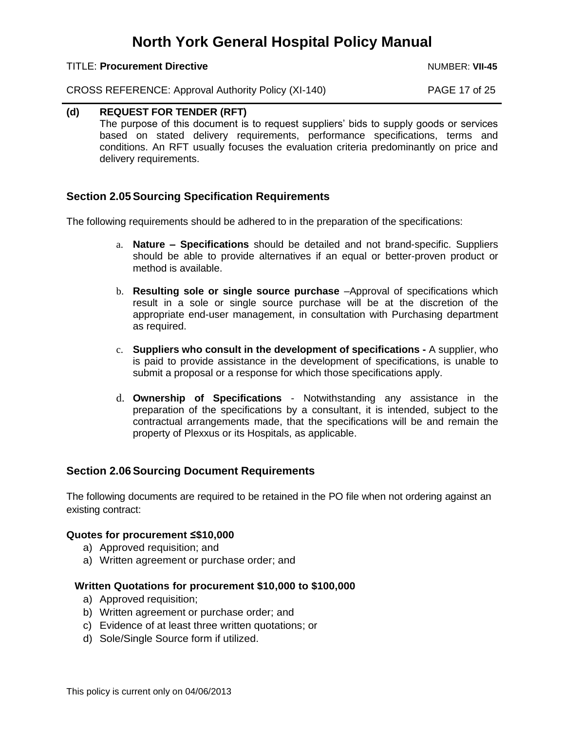TITLE: **Procurement Directive** Number 2004 Number 2004 Number 2014 Number 2014

CROSS REFERENCE: Approval Authority Policy (XI-140) PAGE 17 of 25

#### <span id="page-16-0"></span>**(d) REQUEST FOR TENDER (RFT)**

The purpose of this document is to request suppliers' bids to supply goods or services based on stated delivery requirements, performance specifications, terms and conditions. An RFT usually focuses the evaluation criteria predominantly on price and delivery requirements.

### <span id="page-16-1"></span>**Section 2.05Sourcing Specification Requirements**

The following requirements should be adhered to in the preparation of the specifications:

- a. **Nature – Specifications** should be detailed and not brand-specific. Suppliers should be able to provide alternatives if an equal or better-proven product or method is available.
- b. **Resulting sole or single source purchase** –Approval of specifications which result in a sole or single source purchase will be at the discretion of the appropriate end-user management, in consultation with Purchasing department as required.
- c. **Suppliers who consult in the development of specifications -** A supplier, who is paid to provide assistance in the development of specifications, is unable to submit a proposal or a response for which those specifications apply.
- d. **Ownership of Specifications** Notwithstanding any assistance in the preparation of the specifications by a consultant, it is intended, subject to the contractual arrangements made, that the specifications will be and remain the property of Plexxus or its Hospitals, as applicable.

## <span id="page-16-2"></span>**Section 2.06 Sourcing Document Requirements**

The following documents are required to be retained in the PO file when not ordering against an existing contract:

#### **Quotes for procurement ≤\$10,000**

- a) Approved requisition; and
- a) Written agreement or purchase order; and

#### **Written Quotations for procurement \$10,000 to \$100,000**

- a) Approved requisition;
- b) Written agreement or purchase order; and
- c) Evidence of at least three written quotations; or
- d) Sole/Single Source form if utilized.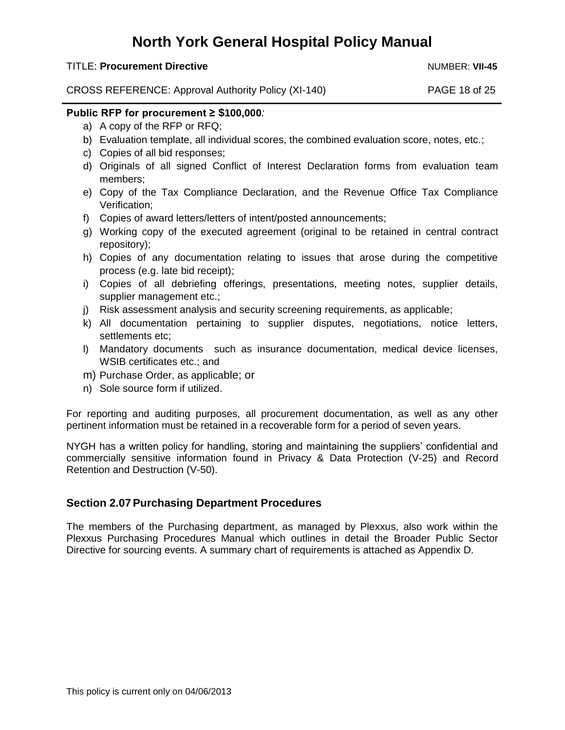#### TITLE: **Procurement Directive** Number 2004 Number 2004 Number 2014 Number 2014

CROSS REFERENCE: Approval Authority Policy (XI-140) PAGE 18 of 25

#### **Public RFP for procurement ≥ \$100,000***:*

- a) A copy of the RFP or RFQ;
- b) Evaluation template, all individual scores, the combined evaluation score, notes, etc.;
- c) Copies of all bid responses;
- d) Originals of all signed Conflict of Interest Declaration forms from evaluation team members;
- e) Copy of the Tax Compliance Declaration, and the Revenue Office Tax Compliance Verification;
- f) Copies of award letters/letters of intent/posted announcements;
- g) Working copy of the executed agreement (original to be retained in central contract repository);
- h) Copies of any documentation relating to issues that arose during the competitive process (e.g. late bid receipt);
- i) Copies of all debriefing offerings, presentations, meeting notes, supplier details, supplier management etc.;
- j) Risk assessment analysis and security screening requirements, as applicable;
- k) All documentation pertaining to supplier disputes, negotiations, notice letters, settlements etc;
- l) Mandatory documents such as insurance documentation, medical device licenses, WSIB certificates etc.; and
- m) Purchase Order, as applicable; or
- n) Sole source form if utilized.

For reporting and auditing purposes, all procurement documentation, as well as any other pertinent information must be retained in a recoverable form for a period of seven years.

NYGH has a written policy for handling, storing and maintaining the suppliers' confidential and commercially sensitive information found in Privacy & Data Protection (V-25) and Record Retention and Destruction (V-50).

### <span id="page-17-0"></span>**Section 2.07 Purchasing Department Procedures**

The members of the Purchasing department, as managed by Plexxus, also work within the Plexxus Purchasing Procedures Manual which outlines in detail the Broader Public Sector Directive for sourcing events. A summary chart of requirements is attached as Appendix D.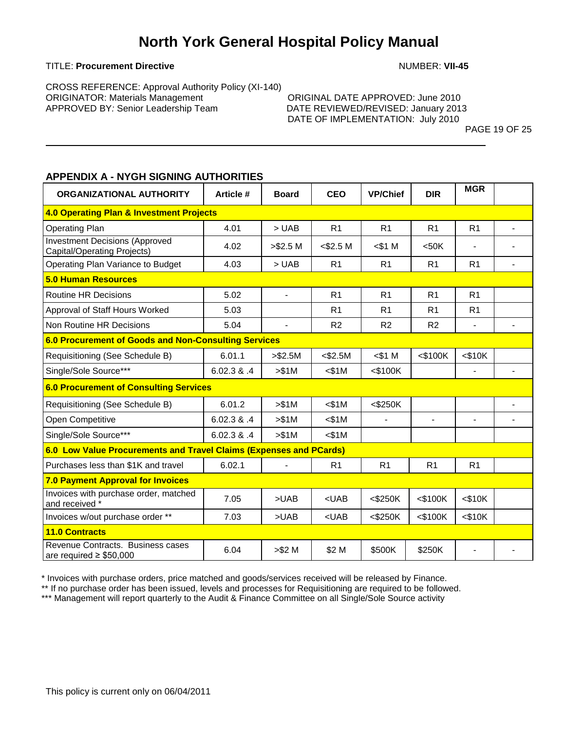#### TITLE: **Procurement Directive** Number 2008 2014 12:00 NUMBER: **VII-45**

CROSS REFERENCE: Approval Authority Policy (XI-140) ORIGINATOR: Materials Management ORIGINAL DATE APPROVED: June 2010 APPROVED BY*:* Senior Leadership Team DATE REVIEWED/REVISED: January 2013

DATE OF IMPLEMENTATION: July 2010

PAGE 19 OF 25

### <span id="page-18-0"></span>**APPENDIX A - NYGH SIGNING AUTHORITIES**

| ORGANIZATIONAL AUTHORITY                                             | <b>Article #</b> | <b>Board</b>             | <b>CEO</b>     | <b>VP/Chief</b> | <b>DIR</b>     | <b>MGR</b>               |  |  |
|----------------------------------------------------------------------|------------------|--------------------------|----------------|-----------------|----------------|--------------------------|--|--|
| 4.0 Operating Plan & Investment Projects                             |                  |                          |                |                 |                |                          |  |  |
| <b>Operating Plan</b>                                                | 4.01             | > <b>UAB</b>             | R <sub>1</sub> | R <sub>1</sub>  | R <sub>1</sub> | R <sub>1</sub>           |  |  |
| <b>Investment Decisions (Approved</b><br>Capital/Operating Projects) | 4.02             | > \$2.5 M                | $<$ \$2.5 M    | $$1 \text{ M}$  | <50K           |                          |  |  |
| Operating Plan Variance to Budget                                    | 4.03             | > <b>UAB</b>             | R <sub>1</sub> | R <sub>1</sub>  | R <sub>1</sub> | R <sub>1</sub>           |  |  |
| <b>5.0 Human Resources</b>                                           |                  |                          |                |                 |                |                          |  |  |
| <b>Routine HR Decisions</b>                                          | 5.02             | $\overline{\phantom{a}}$ | R <sub>1</sub> | R <sub>1</sub>  | R <sub>1</sub> | R <sub>1</sub>           |  |  |
| Approval of Staff Hours Worked                                       | 5.03             |                          | R <sub>1</sub> | R <sub>1</sub>  | R <sub>1</sub> | R <sub>1</sub>           |  |  |
| Non Routine HR Decisions                                             | 5.04             | $\blacksquare$           | R <sub>2</sub> | R <sub>2</sub>  | R2             |                          |  |  |
| 6.0 Procurement of Goods and Non-Consulting Services                 |                  |                          |                |                 |                |                          |  |  |
| Requisitioning (See Schedule B)                                      | 6.01.1           | > \$2.5M                 | $<$ \$2.5M     | $$1 M$          | $<$ \$100 $K$  | $<$ \$10 $K$             |  |  |
| Single/Sole Source***                                                | 6.02.3 & 0.4     | > \$1M                   | $<$ \$1M       | $<$ \$100K      |                |                          |  |  |
| <b>6.0 Procurement of Consulting Services</b>                        |                  |                          |                |                 |                |                          |  |  |
| Requisitioning (See Schedule B)                                      | 6.01.2           | > \$1M                   | < \$1M         | $<$ \$250K      |                |                          |  |  |
| Open Competitive                                                     | 6.02.3 & .4      | > \$1M                   | < \$1M         | $\blacksquare$  | $\blacksquare$ | $\overline{\phantom{a}}$ |  |  |
| Single/Sole Source***                                                | 6.02.3 & .4      | > \$1M                   | $<$ \$1M       |                 |                |                          |  |  |
| 6.0 Low Value Procurements and Travel Claims (Expenses and PCards)   |                  |                          |                |                 |                |                          |  |  |
| Purchases less than \$1K and travel                                  | 6.02.1           | $\overline{\phantom{a}}$ | R <sub>1</sub> | R <sub>1</sub>  | R <sub>1</sub> | R <sub>1</sub>           |  |  |
| <b>7.0 Payment Approval for Invoices</b>                             |                  |                          |                |                 |                |                          |  |  |
| Invoices with purchase order, matched<br>and received *              | 7.05             | >UAB                     | $<$ UAB        | $<$ \$250K      | $<$ \$100K     | < \$10K                  |  |  |
| Invoices w/out purchase order **                                     | 7.03             | >UAB                     | $<$ UAB        | $<$ \$250K      | $<$ \$100K     | $<$ \$10 $K$             |  |  |
| <b>11.0 Contracts</b>                                                |                  |                          |                |                 |                |                          |  |  |
| Revenue Contracts. Business cases<br>are required $\geq$ \$50,000    | 6.04             | > \$2 M                  | \$2 M          | \$500K          | \$250K         | $\overline{\phantom{a}}$ |  |  |

\* Invoices with purchase orders, price matched and goods/services received will be released by Finance.

\*\* If no purchase order has been issued, levels and processes for Requisitioning are required to be followed.

\*\*\* Management will report quarterly to the Audit & Finance Committee on all Single/Sole Source activity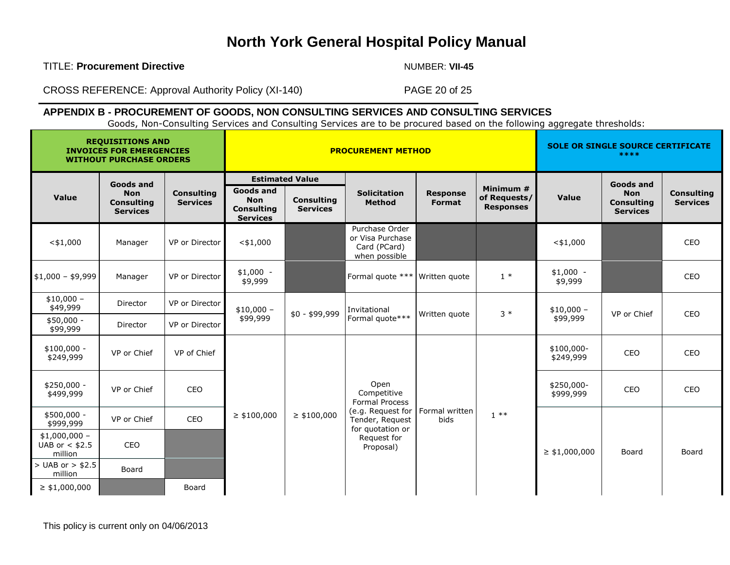TITLE: **Procurement Directive** Number 2004 12:00 NUMBER: VII-45

CROSS REFERENCE: Approval Authority Policy (XI-140) PAGE 20 of 25

## **APPENDIX B - PROCUREMENT OF GOODS, NON CONSULTING SERVICES AND CONSULTING SERVICES**

Goods, Non-Consulting Services and Consulting Services are to be procured based on the following aggregate thresholds:

<span id="page-19-0"></span>

| <b>REQUISITIONS AND</b><br><b>INVOICES FOR EMERGENCIES</b><br><b>WITHOUT PURCHASE ORDERS</b> |                                                    |                                      | <b>PROCUREMENT METHOD</b>                                       |                                      |                                                                     |                                  |                                               | <b>SOLE OR SINGLE SOURCE CERTIFICATE</b><br>**** |                                                    |                                      |              |               |                         |             |             |     |
|----------------------------------------------------------------------------------------------|----------------------------------------------------|--------------------------------------|-----------------------------------------------------------------|--------------------------------------|---------------------------------------------------------------------|----------------------------------|-----------------------------------------------|--------------------------------------------------|----------------------------------------------------|--------------------------------------|--------------|---------------|-------------------------|-------------|-------------|-----|
|                                                                                              | <b>Goods and</b>                                   |                                      |                                                                 | <b>Estimated Value</b>               |                                                                     |                                  |                                               |                                                  | <b>Goods and</b>                                   |                                      |              |               |                         |             |             |     |
| <b>Value</b>                                                                                 | <b>Non</b><br><b>Consulting</b><br><b>Services</b> | <b>Consulting</b><br><b>Services</b> | Goods and<br><b>Non</b><br><b>Consulting</b><br><b>Services</b> | <b>Consulting</b><br><b>Services</b> | <b>Solicitation</b><br><b>Method</b>                                | <b>Response</b><br><b>Format</b> | Minimum #<br>of Requests/<br><b>Responses</b> | Value                                            | <b>Non</b><br><b>Consulting</b><br><b>Services</b> | <b>Consulting</b><br><b>Services</b> |              |               |                         |             |             |     |
| $<$ \$1,000                                                                                  | Manager                                            | VP or Director                       | $<$ \$1,000                                                     |                                      | Purchase Order<br>or Visa Purchase<br>Card (PCard)<br>when possible |                                  |                                               | $<$ \$1,000                                      |                                                    | CEO                                  |              |               |                         |             |             |     |
| $$1,000 - $9,999$                                                                            | Manager                                            | VP or Director                       | $$1,000 -$<br>\$9,999                                           |                                      | Formal quote ***                                                    | Written quote                    | $1 *$                                         | $$1,000 -$<br>\$9,999                            |                                                    | CEO                                  |              |               |                         |             |             |     |
| $$10,000 -$<br>\$49,999                                                                      | Director                                           | VP or Director                       | $$10,000 -$<br>\$99,999                                         |                                      |                                                                     |                                  |                                               |                                                  |                                                    | $$0 - $99,999$                       | Invitational | Written quote | $3 *$                   | $$10,000 -$ | VP or Chief | CEO |
| $$50,000 -$<br>\$99,999                                                                      | Director                                           | VP or Director                       |                                                                 |                                      |                                                                     | Formal quote***                  |                                               |                                                  | \$99,999                                           |                                      |              |               |                         |             |             |     |
| $$100,000 -$<br>\$249,999                                                                    | VP or Chief                                        | VP of Chief                          | $\geq$ \$100,000                                                |                                      |                                                                     |                                  |                                               |                                                  | \$100,000-<br>\$249,999                            | CEO                                  | CEO          |               |                         |             |             |     |
| $$250,000 -$<br>\$499,999                                                                    | VP or Chief                                        | CEO                                  |                                                                 |                                      | $\geq$ \$100,000                                                    |                                  |                                               | Open<br>Competitive<br><b>Formal Process</b>     |                                                    |                                      |              |               | \$250,000-<br>\$999,999 | CEO         | CEO         |     |
| $$500,000 -$<br>\$999,999                                                                    | VP or Chief                                        | CEO                                  |                                                                 |                                      |                                                                     |                                  | (e.g. Request for<br>Tender, Request          | Formal written<br><b>bids</b>                    | $1**$                                              |                                      |              |               |                         |             |             |     |
| $$1,000,000 -$<br>UAB or $<$ \$2.5<br>million                                                | CEO                                                |                                      |                                                                 |                                      | for quotation or<br>Request for<br>Proposal)                        |                                  |                                               | $\geq$ \$1,000,000                               | Board                                              | Board                                |              |               |                         |             |             |     |
| $>$ UAB or $>$ \$2.5<br>million                                                              | Board                                              |                                      |                                                                 |                                      |                                                                     |                                  |                                               |                                                  |                                                    |                                      |              |               |                         |             |             |     |
| $\geq$ \$1,000,000                                                                           |                                                    | Board                                |                                                                 |                                      |                                                                     |                                  |                                               |                                                  |                                                    |                                      |              |               |                         |             |             |     |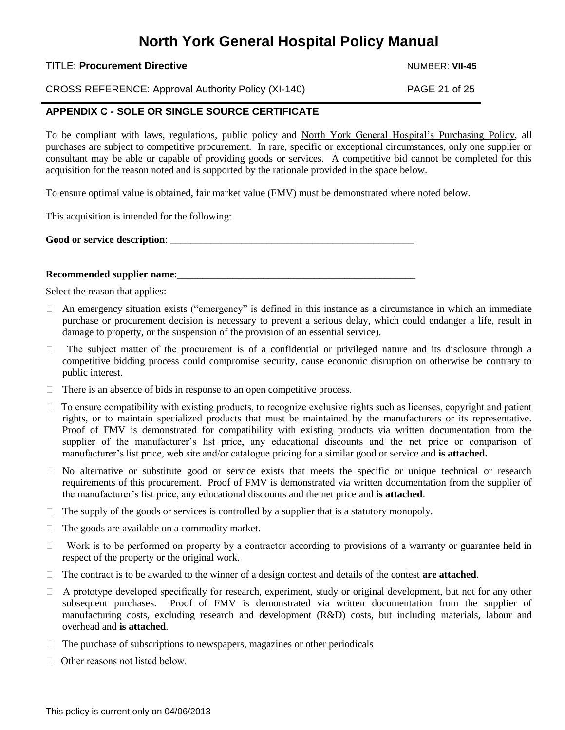#### TITLE: **Procurement Directive** Number 2004 12:00 NUMBER: **VII-45**

CROSS REFERENCE: Approval Authority Policy (XI-140) PAGE 21 of 25

## <span id="page-20-0"></span>**APPENDIX C - SOLE OR SINGLE SOURCE CERTIFICATE**

To be compliant with laws, regulations, public policy and North York General Hospital's Purchasing Policy, all purchases are subject to competitive procurement. In rare, specific or exceptional circumstances, only one supplier or consultant may be able or capable of providing goods or services. A competitive bid cannot be completed for this acquisition for the reason noted and is supported by the rationale provided in the space below.

To ensure optimal value is obtained, fair market value (FMV) must be demonstrated where noted below.

This acquisition is intended for the following:

Good or service description:

#### **Recommended supplier name:**

Select the reason that applies:

- $\Box$  An emergency situation exists ("emergency" is defined in this instance as a circumstance in which an immediate purchase or procurement decision is necessary to prevent a serious delay, which could endanger a life, result in damage to property, or the suspension of the provision of an essential service).
- $\Box$  The subject matter of the procurement is of a confidential or privileged nature and its disclosure through a competitive bidding process could compromise security, cause economic disruption on otherwise be contrary to public interest.
- $\Box$  There is an absence of bids in response to an open competitive process.
- $\Box$  To ensure compatibility with existing products, to recognize exclusive rights such as licenses, copyright and patient rights, or to maintain specialized products that must be maintained by the manufacturers or its representative. Proof of FMV is demonstrated for compatibility with existing products via written documentation from the supplier of the manufacturer's list price, any educational discounts and the net price or comparison of manufacturer's list price, web site and/or catalogue pricing for a similar good or service and **is attached.**
- No alternative or substitute good or service exists that meets the specific or unique technical or research requirements of this procurement. Proof of FMV is demonstrated via written documentation from the supplier of the manufacturer's list price, any educational discounts and the net price and **is attached**.
- $\Box$  The supply of the goods or services is controlled by a supplier that is a statutory monopoly.
- $\Box$  The goods are available on a commodity market.
- $\Box$  Work is to be performed on property by a contractor according to provisions of a warranty or guarantee held in respect of the property or the original work.
- $\Box$  The contract is to be awarded to the winner of a design contest and details of the contest **are attached**.
- $\Box$  A prototype developed specifically for research, experiment, study or original development, but not for any other subsequent purchases. Proof of FMV is demonstrated via written documentation from the supplier of manufacturing costs, excluding research and development (R&D) costs, but including materials, labour and overhead and **is attached**.
- $\Box$  The purchase of subscriptions to newspapers, magazines or other periodicals
- $\Box$  Other reasons not listed below.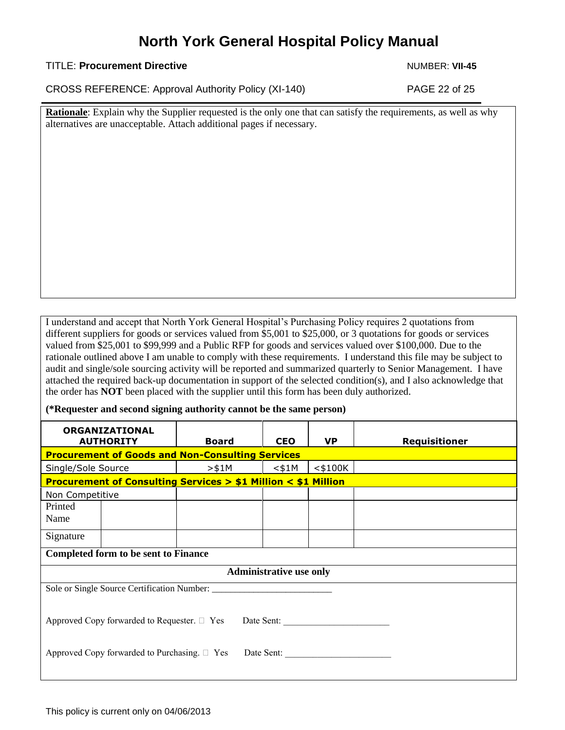#### TITLE: **Procurement Directive** Number 2004 12:00 NUMBER: **VII-45**

CROSS REFERENCE: Approval Authority Policy (XI-140) PAGE 22 of 25

**Rationale**: Explain why the Supplier requested is the only one that can satisfy the requirements, as well as why alternatives are unacceptable. Attach additional pages if necessary.

I understand and accept that North York General Hospital's Purchasing Policy requires 2 quotations from different suppliers for goods or services valued from \$5,001 to \$25,000, or 3 quotations for goods or services valued from \$25,001 to \$99,999 and a Public RFP for goods and services valued over \$100,000. Due to the rationale outlined above I am unable to comply with these requirements. I understand this file may be subject to audit and single/sole sourcing activity will be reported and summarized quarterly to Senior Management. I have attached the required back-up documentation in support of the selected condition(s), and I also acknowledge that the order has **NOT** been placed with the supplier until this form has been duly authorized.

**(\*Requester and second signing authority cannot be the same person)**

| <b>ORGANIZATIONAL</b><br><b>AUTHORITY</b>                                   |  | <b>Board</b> | <b>CEO</b> | <b>VP</b>  | <b>Requisitioner</b> |  |
|-----------------------------------------------------------------------------|--|--------------|------------|------------|----------------------|--|
| <b>Procurement of Goods and Non-Consulting Services</b>                     |  |              |            |            |                      |  |
| Single/Sole Source                                                          |  | $>$ \$1M     | $<$ \$1M   | $<$ \$100K |                      |  |
| <b>Procurement of Consulting Services &gt; \$1 Million &lt; \$1 Million</b> |  |              |            |            |                      |  |
| Non Competitive                                                             |  |              |            |            |                      |  |
| Printed<br>Name                                                             |  |              |            |            |                      |  |
| Signature                                                                   |  |              |            |            |                      |  |
| <b>Completed form to be sent to Finance</b>                                 |  |              |            |            |                      |  |
| <b>Administrative use only</b>                                              |  |              |            |            |                      |  |
|                                                                             |  |              |            |            |                      |  |
| Approved Copy forwarded to Requester. $\Box$ Yes Date Sent:                 |  |              |            |            |                      |  |
| Approved Copy forwarded to Purchasing. $\Box$ Yes<br>Date Sent:             |  |              |            |            |                      |  |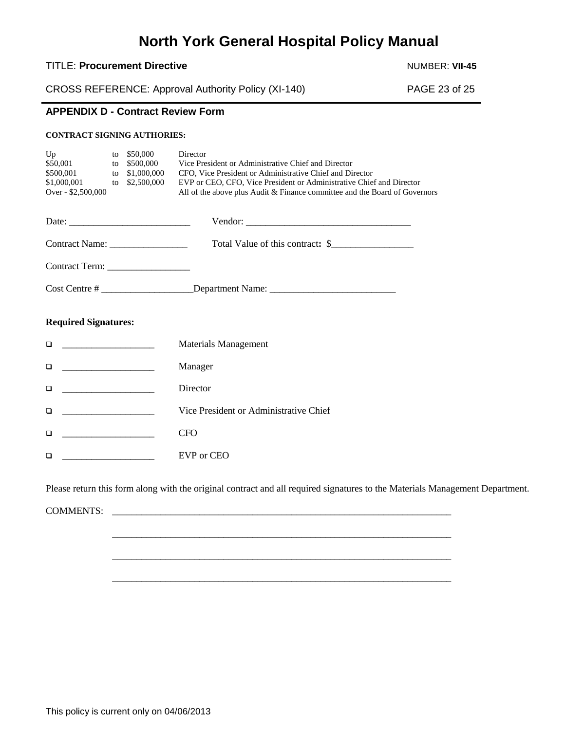#### TITLE: Procurement Directive **Number 2012** NUMBER: VII-45

CROSS REFERENCE: Approval Authority Policy (XI-140) PAGE 23 of 25

### <span id="page-22-0"></span>**APPENDIX D - Contract Review Form**

#### **CONTRACT SIGNING AUTHORIES:**

| Up<br>\$50,001<br>\$500,001<br>\$1,000,001<br>Over - \$2,500,000 | to<br>to<br>to | to $$50,000$<br>\$500,000<br>\$1,000,000<br>\$2,500,000 | Director<br>Vice President or Administrative Chief and Director<br>CFO, Vice President or Administrative Chief and Director<br>EVP or CEO, CFO, Vice President or Administrative Chief and Director<br>All of the above plus Audit & Finance committee and the Board of Governors |
|------------------------------------------------------------------|----------------|---------------------------------------------------------|-----------------------------------------------------------------------------------------------------------------------------------------------------------------------------------------------------------------------------------------------------------------------------------|
|                                                                  |                |                                                         |                                                                                                                                                                                                                                                                                   |
|                                                                  |                |                                                         | Total Value of this contract: \$                                                                                                                                                                                                                                                  |
|                                                                  |                |                                                         |                                                                                                                                                                                                                                                                                   |
|                                                                  |                |                                                         |                                                                                                                                                                                                                                                                                   |
| <b>Required Signatures:</b>                                      |                |                                                         |                                                                                                                                                                                                                                                                                   |
| □                                                                |                |                                                         | <b>Materials Management</b>                                                                                                                                                                                                                                                       |
| □                                                                |                |                                                         | Manager                                                                                                                                                                                                                                                                           |
| □                                                                |                |                                                         | Director                                                                                                                                                                                                                                                                          |
| □                                                                |                |                                                         | Vice President or Administrative Chief                                                                                                                                                                                                                                            |
| □                                                                |                |                                                         | <b>CFO</b>                                                                                                                                                                                                                                                                        |
| □                                                                |                |                                                         | EVP or CEO                                                                                                                                                                                                                                                                        |

Please return this form along with the original contract and all required signatures to the Materials Management Department.

\_\_\_\_\_\_\_\_\_\_\_\_\_\_\_\_\_\_\_\_\_\_\_\_\_\_\_\_\_\_\_\_\_\_\_\_\_\_\_\_\_\_\_\_\_\_\_\_\_\_\_\_\_\_\_\_\_\_\_\_\_\_\_\_\_\_\_\_\_\_

\_\_\_\_\_\_\_\_\_\_\_\_\_\_\_\_\_\_\_\_\_\_\_\_\_\_\_\_\_\_\_\_\_\_\_\_\_\_\_\_\_\_\_\_\_\_\_\_\_\_\_\_\_\_\_\_\_\_\_\_\_\_\_\_\_\_\_\_\_\_

<span id="page-22-1"></span>\_\_\_\_\_\_\_\_\_\_\_\_\_\_\_\_\_\_\_\_\_\_\_\_\_\_\_\_\_\_\_\_\_\_\_\_\_\_\_\_\_\_\_\_\_\_\_\_\_\_\_\_\_\_\_\_\_\_\_\_\_\_\_\_\_\_\_\_\_\_

COMMENTS: \_\_\_\_\_\_\_\_\_\_\_\_\_\_\_\_\_\_\_\_\_\_\_\_\_\_\_\_\_\_\_\_\_\_\_\_\_\_\_\_\_\_\_\_\_\_\_\_\_\_\_\_\_\_\_\_\_\_\_\_\_\_\_\_\_\_\_\_\_\_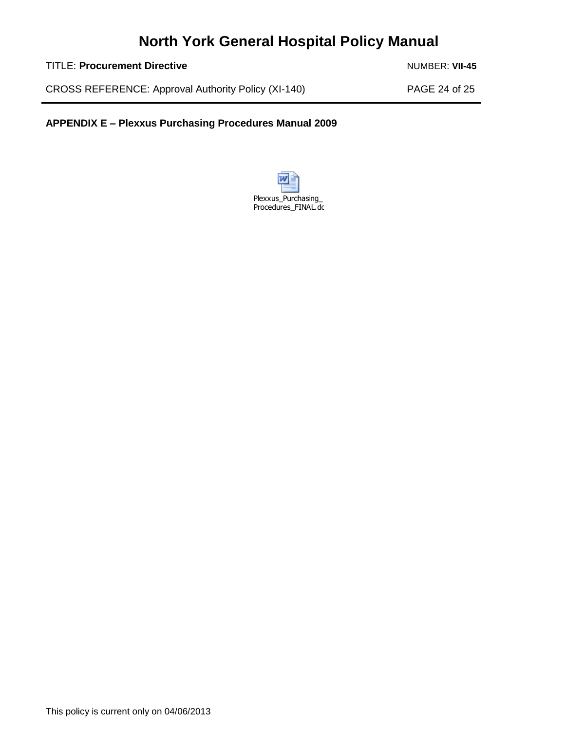TITLE: Procurement Directive **Number 2012** NUMBER: VII-45

CROSS REFERENCE: Approval Authority Policy (XI-140) PAGE 24 of 25

**APPENDIX E – Plexxus Purchasing Procedures Manual 2009**